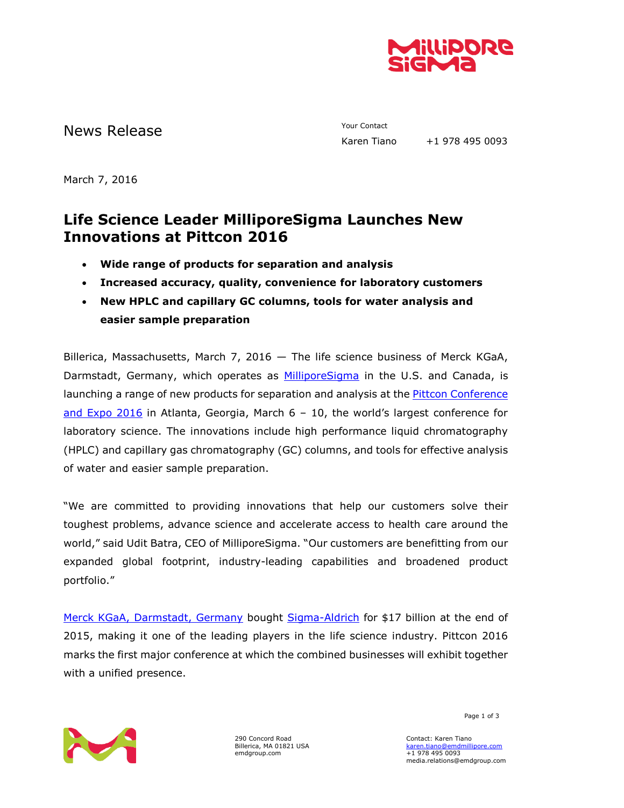

# News Release The Contact Terms of the Mews Release Tiano

+1 978 495 0093

March 7, 2016

## **Life Science Leader MilliporeSigma Launches New Innovations at Pittcon 2016**

- **Wide range of products for separation and analysis**
- **Increased accuracy, quality, convenience for laboratory customers**
- **New HPLC and capillary GC columns, tools for water analysis and easier sample preparation**

Billerica, Massachusetts, March 7, 2016 — The life science business of Merck KGaA, Darmstadt, Germany, which operates as **MilliporeSigma** in the U.S. and Canada, is launching a range of new products for separation and analysis at the Pittcon [Conference](http://pittcon.org/)  [and Expo](http://pittcon.org/) 2016 in Atlanta, Georgia, March 6 – 10, the world's largest conference for laboratory science. The innovations include high performance liquid chromatography (HPLC) and capillary gas chromatography (GC) columns, and tools for effective analysis of water and easier sample preparation.

"We are committed to providing innovations that help our customers solve their toughest problems, advance science and accelerate access to health care around the world," said Udit Batra, CEO of MilliporeSigma. "Our customers are benefitting from our expanded global footprint, industry-leading capabilities and broadened product portfolio."

Merck KGaA, [Darmstadt, Germany](http://emdgroup.com/emd/index.html) bought [Sigma-Aldrich](http://www.sigmaaldrich.com/united-states.html) for \$17 billion at the end of 2015, making it one of the leading players in the life science industry. Pittcon 2016 marks the first major conference at which the combined businesses will exhibit together with a unified presence.



290 Concord Road Billerica, MA 01821 USA emdgroup.com

Page 1 of 3

Contact: Karen Tiano [karen.tiano@emdmillipore.com](mailto:karen.tiano@emdmillipore.com) +1 978 495 0093 media.relations@emdgroup.com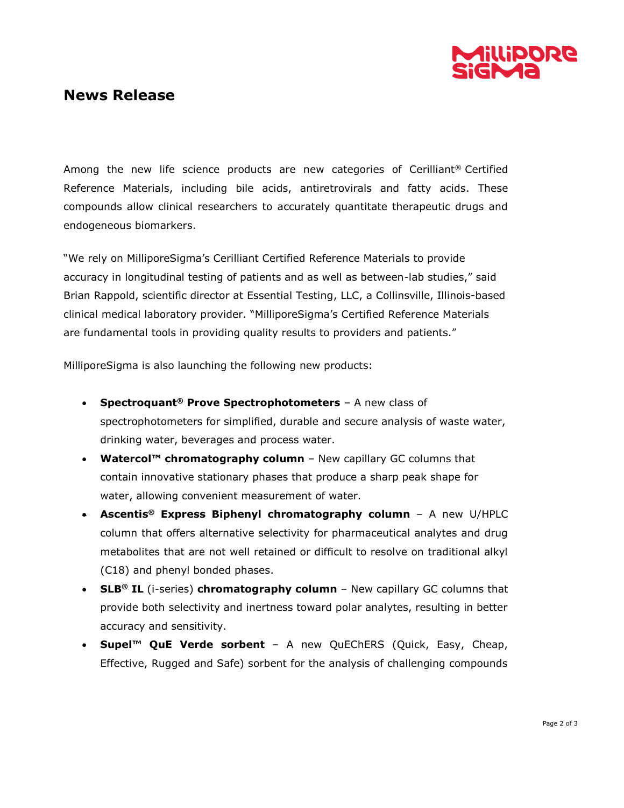

### **News Release**

Among the new life science products are new categories of Cerilliant® Certified Reference Materials, including bile acids, antiretrovirals and fatty acids. These compounds allow clinical researchers to accurately quantitate therapeutic drugs and endogeneous biomarkers.

"We rely on MilliporeSigma's Cerilliant Certified Reference Materials to provide accuracy in longitudinal testing of patients and as well as between-lab studies," said Brian Rappold, scientific director at Essential Testing, LLC, a Collinsville, Illinois-based clinical medical laboratory provider. "MilliporeSigma's Certified Reference Materials are fundamental tools in providing quality results to providers and patients."

MilliporeSigma is also launching the following new products:

- **Spectroquant® Prove Spectrophotometers** A new class of spectrophotometers for simplified, durable and secure analysis of waste water, drinking water, beverages and process water.
- **Watercol™ chromatography column** New capillary GC columns that contain innovative stationary phases that produce a sharp peak shape for water, allowing convenient measurement of water.
- **Ascentis® Express Biphenyl chromatography column** A new U/HPLC column that offers alternative selectivity for pharmaceutical analytes and drug metabolites that are not well retained or difficult to resolve on traditional alkyl (C18) and phenyl bonded phases.
- **SLB® IL** (i-series) **chromatography column** New capillary GC columns that provide both selectivity and inertness toward polar analytes, resulting in better accuracy and sensitivity.
- **Supel™ QuE Verde sorbent**  A new QuEChERS (Quick, Easy, Cheap, Effective, Rugged and Safe) sorbent for the analysis of challenging compounds